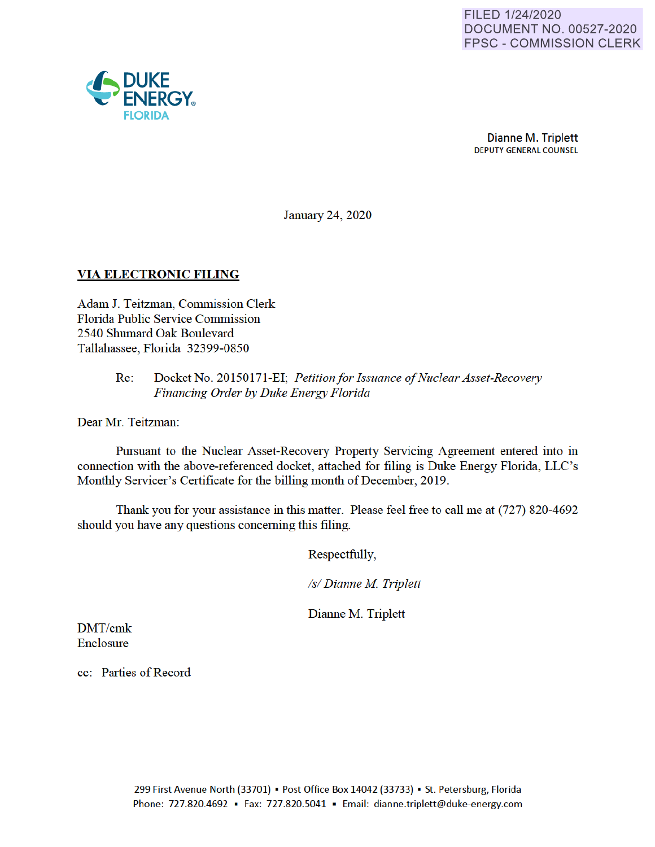

Dianne M. Triplett DEPUTY GENERAL COUNSEL

January 24, 2020

# **VIA ELECTRONIC FILING**

Adam J. Teitzman, Commission Clerk Florida Public Service Commission 2540 Shumard Oak Boulevard Tallahassee, Florida 32399-0850

#### Re: Docket No. 20150171-EI· *Petition for Issuance of Nuclear Asset-Recovery Financing Order by Duke Energy Florida*

Dear Mr. Teitzman:

Pursuant to the Nuclear Asset-Recovery Property Servicing Agreement entered into in connection with the above-referenced docket, attached for filing is Duke Energy Florida, LLC's Monthly Servicer's Certificate for the billing month of December, 2019.

Thank you for your assistance in this matter. Please feel free to call me at (727) 820-4692 should you have any questions concerning this filing.

Respectfully,

*Isl Dianne M Triplett* 

Dianne M. Triplett

DMT/cmk Enclosure

cc: Parties of Record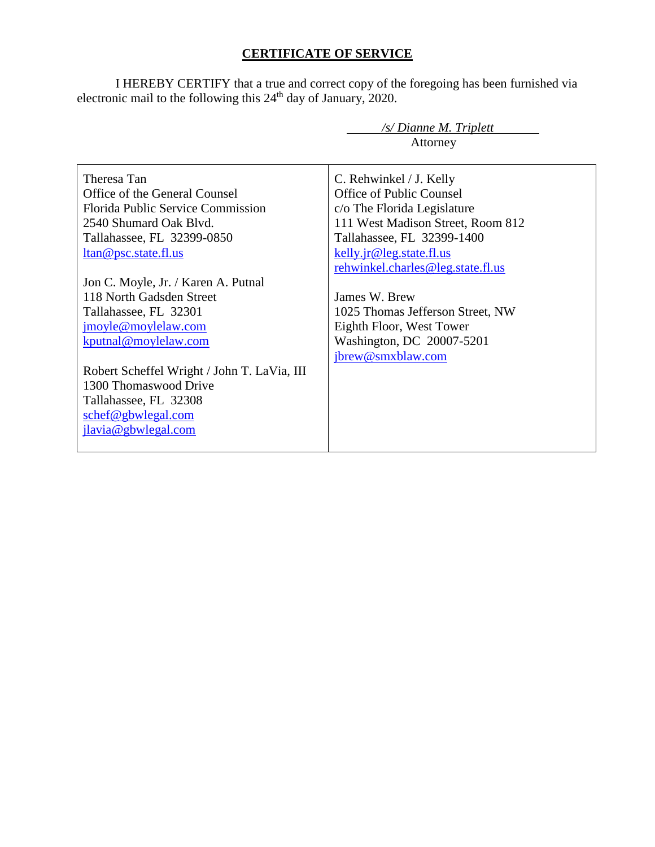# **CERTIFICATE OF SERVICE**

I HEREBY CERTIFY that a true and correct copy of the foregoing has been furnished via electronic mail to the following this  $24<sup>th</sup>$  day of January, 2020.

|                                                     | /s/ Dianne M. Triplett            |
|-----------------------------------------------------|-----------------------------------|
|                                                     | Attorney                          |
| Theresa Tan                                         | C. Rehwinkel / J. Kelly           |
| Office of the General Counsel                       | Office of Public Counsel          |
| Florida Public Service Commission                   | c/o The Florida Legislature       |
| 2540 Shumard Oak Blyd.                              | 111 West Madison Street, Room 812 |
| Tallahassee, FL 32399-0850                          | Tallahassee, FL 32399-1400        |
| <u>ltan@psc.state.fl.us</u>                         | kelly.jr@leg.state.fl.us          |
|                                                     | rehwinkel.charles@leg.state.fl.us |
| Jon C. Moyle, Jr. / Karen A. Putnal                 |                                   |
| 118 North Gadsden Street                            | James W. Brew                     |
| Tallahassee, FL 32301                               | 1025 Thomas Jefferson Street, NW  |
| jmoyle@moylelaw.com                                 | Eighth Floor, West Tower          |
| kputnal@moylelaw.com                                | Washington, DC 20007-5201         |
|                                                     | jbrew@smxblaw.com                 |
| Robert Scheffel Wright / John T. LaVia, III         |                                   |
| 1300 Thomaswood Drive                               |                                   |
| Tallahassee, FL 32308                               |                                   |
| $\frac{\text{schef}\omega_{\text{gbwlegal.com}}{2}$ |                                   |
| jlavia@gbwlegal.com                                 |                                   |
|                                                     |                                   |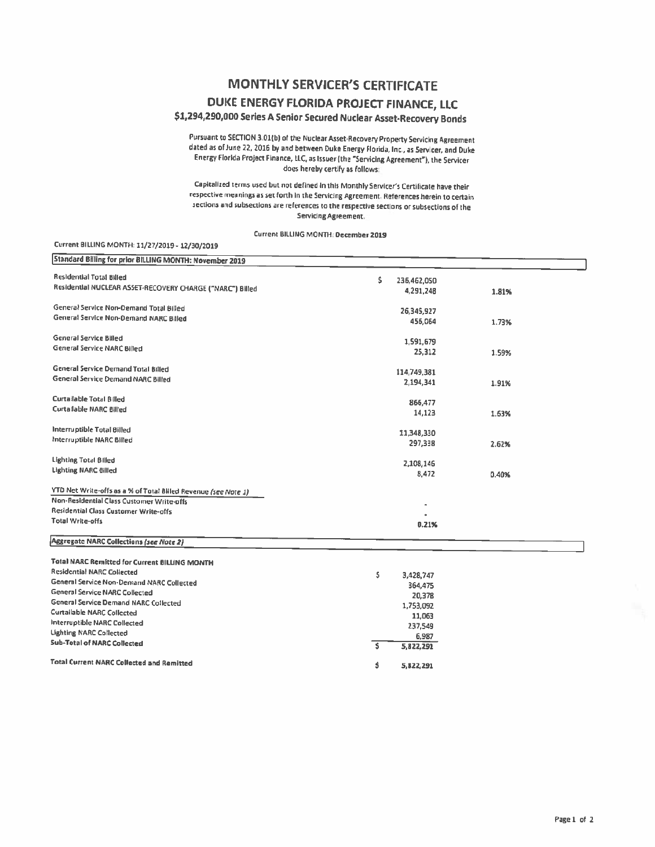### **MONTHLY SERVICER'S CERTIFICATE**

## DUKE ENERGY FLORIDA PROJECT FINANCE, LLC

#### \$1,294,290,000 Series A Senior Secured Nuclear Asset-Recovery Bonds

Pursuant to SECTION 3.01(b) of the Nuclear Asset-Recovery Property Servicing Agreement dated as of June 22, 2016 by and between Duke Energy Florida, Inc., as Servicer, and Duke Energy Florida Project Finance, LLC, as Issuer (the "Servicing Agreement"), the Servicer does hereby certify as follows:

Capitalized terms used but not defined in this Monthly Servicer's Certificate have their respective meanings as set forth in the Servicing Agreement. References herein to certain sections and subsections are references to the respective sections or subsections of the Servicing Agreement.

Current BILLING MONTH: December 2019

#### Current BILLING MONTH: 11/27/2019 - 12/30/2019

| Standard Billing for prior BILLING MONTH: November 2019        |                   |       |
|----------------------------------------------------------------|-------------------|-------|
|                                                                |                   |       |
| <b>Residential Total Billed</b>                                | Ś.<br>236,462,050 |       |
| Residential NUCLEAR ASSET-RECOVERY CHARGE ("NARC") Billed      | 4,291,248         | 1.81% |
| General Service Non-Demand Total Billed                        |                   |       |
| General Service Non-Demand NARC Billed                         | 26,345,927        |       |
|                                                                | 455,064           | 1.73% |
| General Service Billed                                         | 1,591,679         |       |
| General Service NARC Billed                                    | 25,312            | 1.59% |
|                                                                |                   |       |
| <b>General Service Demand Total Billed</b>                     | 114,749,381       |       |
| General Service Demand NARC Billed                             | 2,194,341         | 1.91% |
|                                                                |                   |       |
| Curtailable Total Billed                                       | 866,477           |       |
| <b>Curtailable NARC Billed</b>                                 | 14,123            | 1.63% |
| Interruptible Total Billed                                     |                   |       |
| Interruptible NARC Billed                                      | 11,348,330        |       |
|                                                                | 297,338           | 2.62% |
| Lighting Total Billed                                          |                   |       |
| <b>Lighting NARC Billed</b>                                    | 2,108,146         |       |
|                                                                | 8,472             | 0.40% |
| YTD Net Write-offs as a % of Total Billed Revenue (see Note 1) |                   |       |
| Non-Residential Class Customer Write-offs                      |                   |       |
| Residential Class Customer Write-offs                          |                   |       |
| Total Write-offs                                               | 0.21%             |       |
|                                                                |                   |       |
| Aggregate NARC Collections (see Note 2)                        |                   |       |
| <b>Total NARC Remitted for Current BILLING MONTH</b>           |                   |       |
| <b>Residential NARC Collected</b>                              |                   |       |
| <b>General Service Non-Demand NARC Collected</b>               | Ŝ.<br>3,428,747   |       |
| <b>General Service NARC Collected</b>                          | 364,475<br>20,378 |       |
| <b>General Service Demand NARC Collected</b>                   | 1,753,092         |       |
| <b>Curtailable NARC Collected</b>                              | 11,063            |       |
| Interruptible NARC Collected                                   | 237,549           |       |
| <b>Lighting NARC Collected</b>                                 | 6.987             |       |
| <b>Sub-Total of NARC Collected</b>                             | \$<br>5,822,291   |       |
|                                                                |                   |       |
| <b>Total Current NARC Collected and Remitted</b>               | Ś<br>5,822,291    |       |